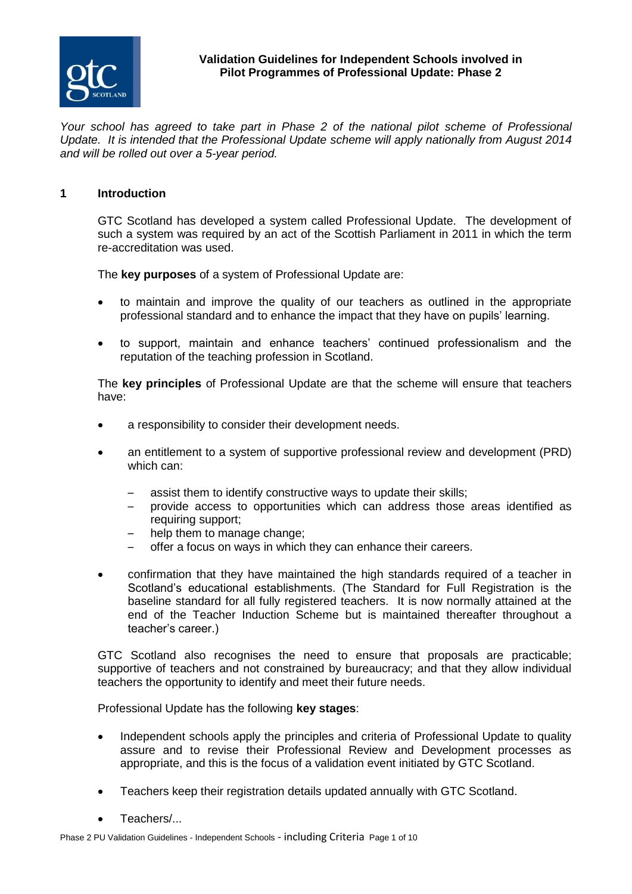

# **Validation Guidelines for Independent Schools involved in Pilot Programmes of Professional Update: Phase 2**

*Your school has agreed to take part in Phase 2 of the national pilot scheme of Professional Update. It is intended that the Professional Update scheme will apply nationally from August 2014 and will be rolled out over a 5-year period.*

### **1 Introduction**

GTC Scotland has developed a system called Professional Update. The development of such a system was required by an act of the Scottish Parliament in 2011 in which the term re-accreditation was used.

The **key purposes** of a system of Professional Update are:

- to maintain and improve the quality of our teachers as outlined in the appropriate professional standard and to enhance the impact that they have on pupils' learning.
- to support, maintain and enhance teachers' continued professionalism and the reputation of the teaching profession in Scotland.

The **key principles** of Professional Update are that the scheme will ensure that teachers have:

- a responsibility to consider their development needs.
- an entitlement to a system of supportive professional review and development (PRD) which can:
	- assist them to identify constructive ways to update their skills;
	- provide access to opportunities which can address those areas identified as requiring support;
	- help them to manage change;
	- offer a focus on ways in which they can enhance their careers.
- confirmation that they have maintained the high standards required of a teacher in Scotland's educational establishments. (The Standard for Full Registration is the baseline standard for all fully registered teachers. It is now normally attained at the end of the Teacher Induction Scheme but is maintained thereafter throughout a teacher's career.)

GTC Scotland also recognises the need to ensure that proposals are practicable; supportive of teachers and not constrained by bureaucracy; and that they allow individual teachers the opportunity to identify and meet their future needs.

Professional Update has the following **key stages**:

- Independent schools apply the principles and criteria of Professional Update to quality assure and to revise their Professional Review and Development processes as appropriate, and this is the focus of a validation event initiated by GTC Scotland.
- Teachers keep their registration details updated annually with GTC Scotland.
- Teachers/...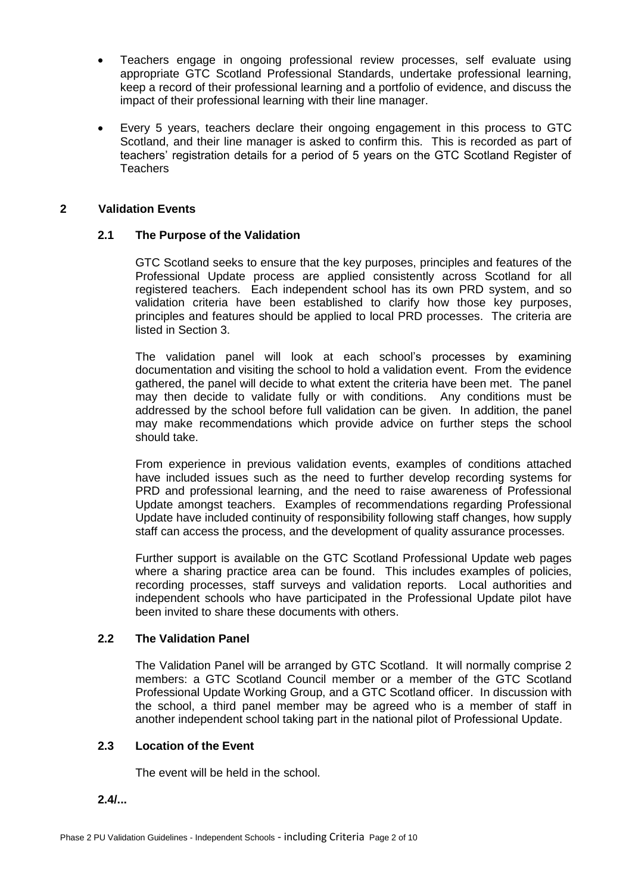- Teachers engage in ongoing professional review processes, self evaluate using appropriate GTC Scotland Professional Standards, undertake professional learning, keep a record of their professional learning and a portfolio of evidence, and discuss the impact of their professional learning with their line manager.
- Every 5 years, teachers declare their ongoing engagement in this process to GTC Scotland, and their line manager is asked to confirm this. This is recorded as part of teachers' registration details for a period of 5 years on the GTC Scotland Register of Teachers

# **2 Validation Events**

### **2.1 The Purpose of the Validation**

GTC Scotland seeks to ensure that the key purposes, principles and features of the Professional Update process are applied consistently across Scotland for all registered teachers. Each independent school has its own PRD system, and so validation criteria have been established to clarify how those key purposes, principles and features should be applied to local PRD processes. The criteria are listed in Section 3.

The validation panel will look at each school's processes by examining documentation and visiting the school to hold a validation event. From the evidence gathered, the panel will decide to what extent the criteria have been met. The panel may then decide to validate fully or with conditions. Any conditions must be addressed by the school before full validation can be given. In addition, the panel may make recommendations which provide advice on further steps the school should take.

From experience in previous validation events, examples of conditions attached have included issues such as the need to further develop recording systems for PRD and professional learning, and the need to raise awareness of Professional Update amongst teachers. Examples of recommendations regarding Professional Update have included continuity of responsibility following staff changes, how supply staff can access the process, and the development of quality assurance processes.

Further support is available on the GTC Scotland Professional Update web pages where a sharing practice area can be found. This includes examples of policies, recording processes, staff surveys and validation reports. Local authorities and independent schools who have participated in the Professional Update pilot have been invited to share these documents with others.

# **2.2 The Validation Panel**

The Validation Panel will be arranged by GTC Scotland. It will normally comprise 2 members: a GTC Scotland Council member or a member of the GTC Scotland Professional Update Working Group, and a GTC Scotland officer. In discussion with the school, a third panel member may be agreed who is a member of staff in another independent school taking part in the national pilot of Professional Update.

#### **2.3 Location of the Event**

The event will be held in the school.

# **2.4/...**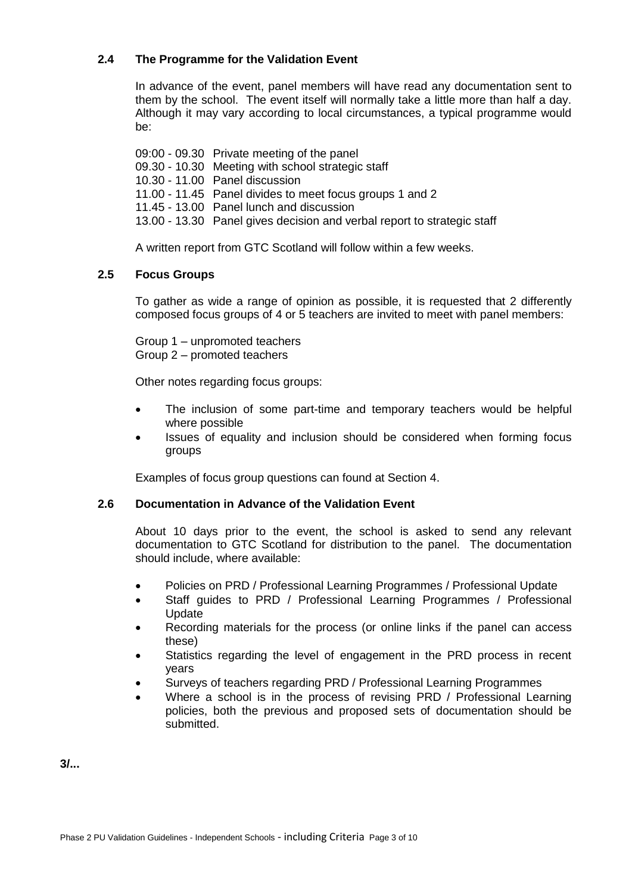# **2.4 The Programme for the Validation Event**

In advance of the event, panel members will have read any documentation sent to them by the school. The event itself will normally take a little more than half a day. Although it may vary according to local circumstances, a typical programme would be:

09:00 - 09.30 Private meeting of the panel 09.30 - 10.30 Meeting with school strategic staff 10.30 - 11.00 Panel discussion 11.00 - 11.45 Panel divides to meet focus groups 1 and 2 11.45 - 13.00 Panel lunch and discussion 13.00 - 13.30 Panel gives decision and verbal report to strategic staff

A written report from GTC Scotland will follow within a few weeks.

# **2.5 Focus Groups**

To gather as wide a range of opinion as possible, it is requested that 2 differently composed focus groups of 4 or 5 teachers are invited to meet with panel members:

Group 1 – unpromoted teachers Group 2 – promoted teachers

Other notes regarding focus groups:

- The inclusion of some part-time and temporary teachers would be helpful where possible
- Issues of equality and inclusion should be considered when forming focus groups

Examples of focus group questions can found at Section 4.

# **2.6 Documentation in Advance of the Validation Event**

About 10 days prior to the event, the school is asked to send any relevant documentation to GTC Scotland for distribution to the panel. The documentation should include, where available:

- Policies on PRD / Professional Learning Programmes / Professional Update
- Staff guides to PRD / Professional Learning Programmes / Professional Update
- Recording materials for the process (or online links if the panel can access these)
- Statistics regarding the level of engagement in the PRD process in recent years
- Surveys of teachers regarding PRD / Professional Learning Programmes
- Where a school is in the process of revising PRD / Professional Learning policies, both the previous and proposed sets of documentation should be submitted.

**3/...**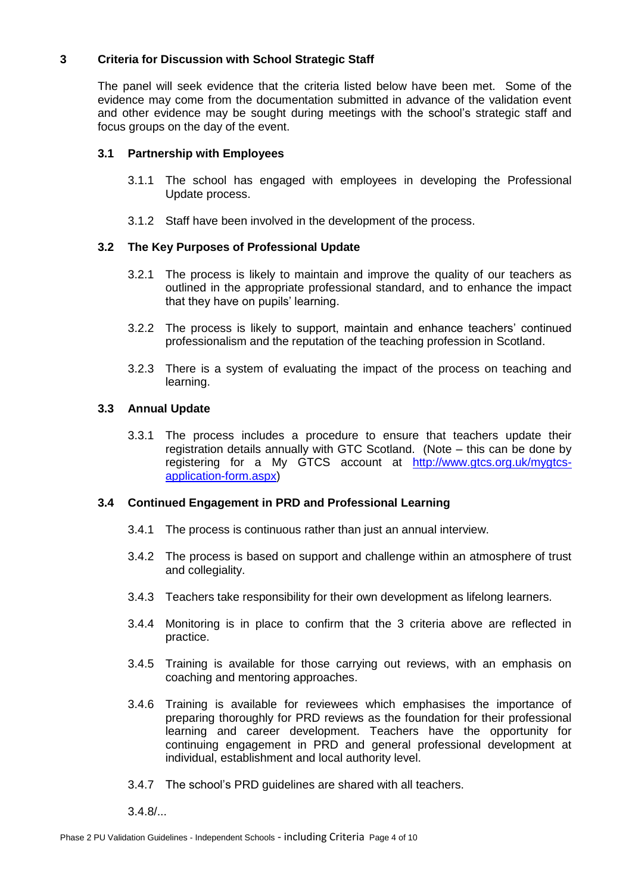# **3 Criteria for Discussion with School Strategic Staff**

The panel will seek evidence that the criteria listed below have been met. Some of the evidence may come from the documentation submitted in advance of the validation event and other evidence may be sought during meetings with the school's strategic staff and focus groups on the day of the event.

### **3.1 Partnership with Employees**

- 3.1.1 The school has engaged with employees in developing the Professional Update process.
- 3.1.2 Staff have been involved in the development of the process.

### **3.2 The Key Purposes of Professional Update**

- 3.2.1 The process is likely to maintain and improve the quality of our teachers as outlined in the appropriate professional standard, and to enhance the impact that they have on pupils' learning.
- 3.2.2 The process is likely to support, maintain and enhance teachers' continued professionalism and the reputation of the teaching profession in Scotland.
- 3.2.3 There is a system of evaluating the impact of the process on teaching and learning.

### **3.3 Annual Update**

3.3.1 The process includes a procedure to ensure that teachers update their registration details annually with GTC Scotland. (Note – this can be done by registering for a My GTCS account at [http://www.gtcs.org.uk/mygtcs](http://www.gtcs.org.uk/mygtcs-application-form.aspx)[application-form.aspx\)](http://www.gtcs.org.uk/mygtcs-application-form.aspx)

#### **3.4 Continued Engagement in PRD and Professional Learning**

- 3.4.1 The process is continuous rather than just an annual interview.
- 3.4.2 The process is based on support and challenge within an atmosphere of trust and collegiality.
- 3.4.3 Teachers take responsibility for their own development as lifelong learners.
- 3.4.4 Monitoring is in place to confirm that the 3 criteria above are reflected in practice.
- 3.4.5 Training is available for those carrying out reviews, with an emphasis on coaching and mentoring approaches.
- 3.4.6 Training is available for reviewees which emphasises the importance of preparing thoroughly for PRD reviews as the foundation for their professional learning and career development. Teachers have the opportunity for continuing engagement in PRD and general professional development at individual, establishment and local authority level.
- 3.4.7 The school's PRD guidelines are shared with all teachers.

3.4.8/...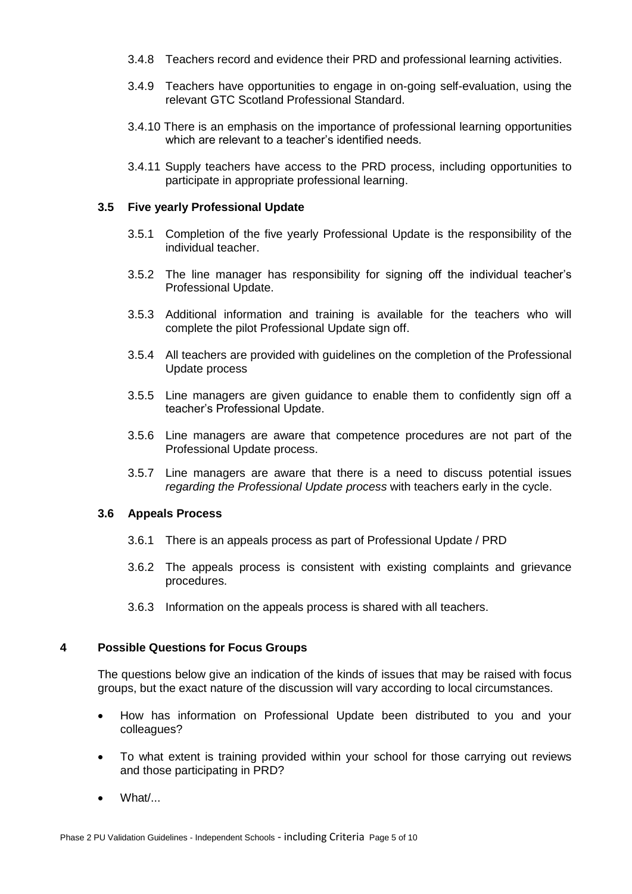- 3.4.8 Teachers record and evidence their PRD and professional learning activities.
- 3.4.9 Teachers have opportunities to engage in on-going self-evaluation, using the relevant GTC Scotland Professional Standard.
- 3.4.10 There is an emphasis on the importance of professional learning opportunities which are relevant to a teacher's identified needs.
- 3.4.11 Supply teachers have access to the PRD process, including opportunities to participate in appropriate professional learning.

### **3.5 Five yearly Professional Update**

- 3.5.1 Completion of the five yearly Professional Update is the responsibility of the individual teacher.
- 3.5.2 The line manager has responsibility for signing off the individual teacher's Professional Update.
- 3.5.3 Additional information and training is available for the teachers who will complete the pilot Professional Update sign off.
- 3.5.4 All teachers are provided with guidelines on the completion of the Professional Update process
- 3.5.5 Line managers are given guidance to enable them to confidently sign off a teacher's Professional Update.
- 3.5.6 Line managers are aware that competence procedures are not part of the Professional Update process.
- 3.5.7 Line managers are aware that there is a need to discuss potential issues *regarding the Professional Update process* with teachers early in the cycle.

# **3.6 Appeals Process**

- 3.6.1 There is an appeals process as part of Professional Update / PRD
- 3.6.2 The appeals process is consistent with existing complaints and grievance procedures.
- 3.6.3 Information on the appeals process is shared with all teachers.

# **4 Possible Questions for Focus Groups**

The questions below give an indication of the kinds of issues that may be raised with focus groups, but the exact nature of the discussion will vary according to local circumstances.

- How has information on Professional Update been distributed to you and your colleagues?
- To what extent is training provided within your school for those carrying out reviews and those participating in PRD?
- What/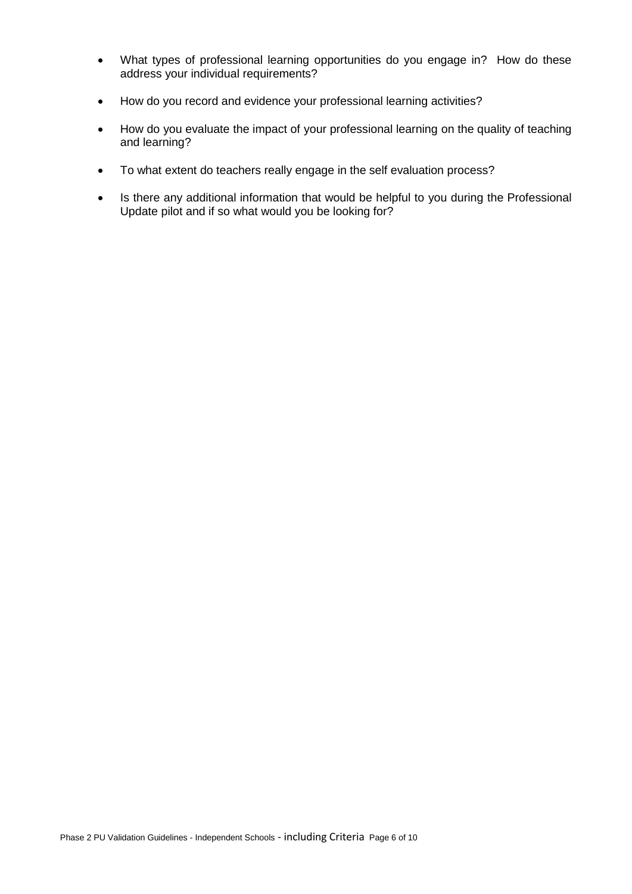- What types of professional learning opportunities do you engage in? How do these address your individual requirements?
- How do you record and evidence your professional learning activities?
- How do you evaluate the impact of your professional learning on the quality of teaching and learning?
- To what extent do teachers really engage in the self evaluation process?
- Is there any additional information that would be helpful to you during the Professional Update pilot and if so what would you be looking for?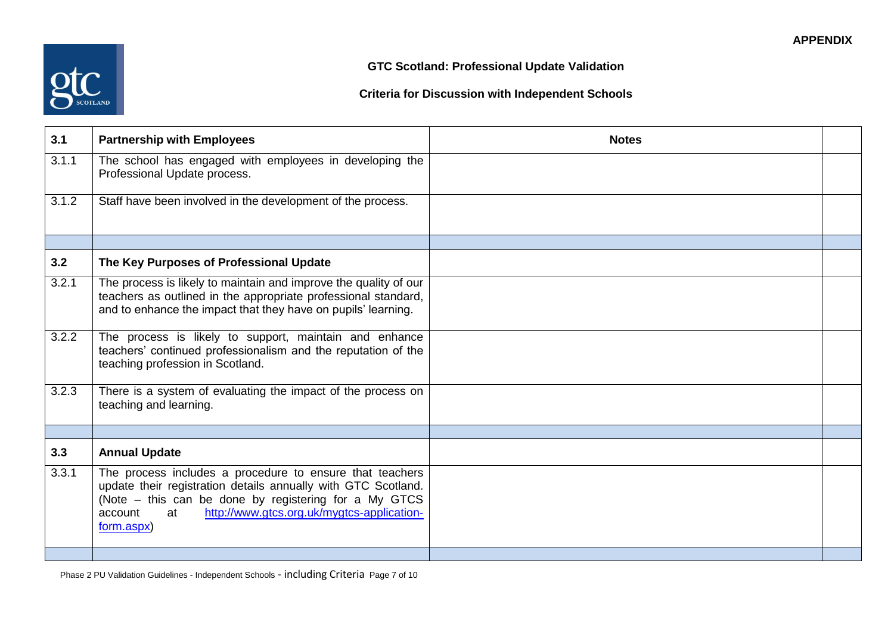

# **GTC Scotland: Professional Update Validation**

# **Criteria for Discussion with Independent Schools**

| 3.1   | <b>Partnership with Employees</b>                                                                                                                                                                                                                               | <b>Notes</b> |  |
|-------|-----------------------------------------------------------------------------------------------------------------------------------------------------------------------------------------------------------------------------------------------------------------|--------------|--|
| 3.1.1 | The school has engaged with employees in developing the<br>Professional Update process.                                                                                                                                                                         |              |  |
| 3.1.2 | Staff have been involved in the development of the process.                                                                                                                                                                                                     |              |  |
|       |                                                                                                                                                                                                                                                                 |              |  |
| 3.2   | The Key Purposes of Professional Update                                                                                                                                                                                                                         |              |  |
| 3.2.1 | The process is likely to maintain and improve the quality of our<br>teachers as outlined in the appropriate professional standard,<br>and to enhance the impact that they have on pupils' learning.                                                             |              |  |
| 3.2.2 | The process is likely to support, maintain and enhance<br>teachers' continued professionalism and the reputation of the<br>teaching profession in Scotland.                                                                                                     |              |  |
| 3.2.3 | There is a system of evaluating the impact of the process on<br>teaching and learning.                                                                                                                                                                          |              |  |
|       |                                                                                                                                                                                                                                                                 |              |  |
| 3.3   | <b>Annual Update</b>                                                                                                                                                                                                                                            |              |  |
| 3.3.1 | The process includes a procedure to ensure that teachers<br>update their registration details annually with GTC Scotland.<br>(Note – this can be done by registering for a My GTCS<br>http://www.gtcs.org.uk/mygtcs-application-<br>account<br>at<br>form.aspx) |              |  |
|       |                                                                                                                                                                                                                                                                 |              |  |

Phase 2 PU Validation Guidelines - Independent Schools - including Criteria Page 7 of 10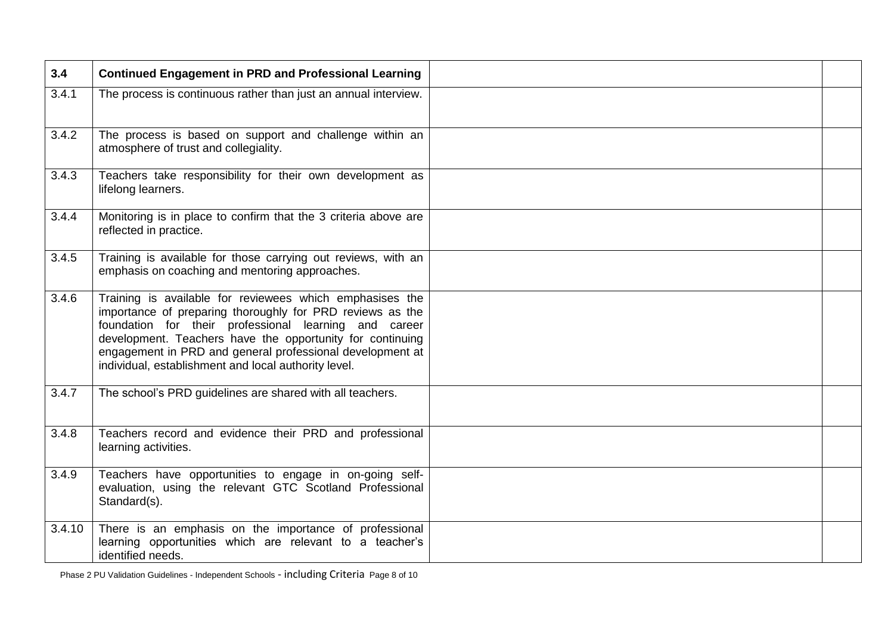| 3.4    | <b>Continued Engagement in PRD and Professional Learning</b>                                                                                                                                                                                                                                                                                                     |  |
|--------|------------------------------------------------------------------------------------------------------------------------------------------------------------------------------------------------------------------------------------------------------------------------------------------------------------------------------------------------------------------|--|
| 3.4.1  | The process is continuous rather than just an annual interview.                                                                                                                                                                                                                                                                                                  |  |
| 3.4.2  | The process is based on support and challenge within an<br>atmosphere of trust and collegiality.                                                                                                                                                                                                                                                                 |  |
| 3.4.3  | Teachers take responsibility for their own development as<br>lifelong learners.                                                                                                                                                                                                                                                                                  |  |
| 3.4.4  | Monitoring is in place to confirm that the 3 criteria above are<br>reflected in practice.                                                                                                                                                                                                                                                                        |  |
| 3.4.5  | Training is available for those carrying out reviews, with an<br>emphasis on coaching and mentoring approaches.                                                                                                                                                                                                                                                  |  |
| 3.4.6  | Training is available for reviewees which emphasises the<br>importance of preparing thoroughly for PRD reviews as the<br>foundation for their professional learning and career<br>development. Teachers have the opportunity for continuing<br>engagement in PRD and general professional development at<br>individual, establishment and local authority level. |  |
| 3.4.7  | The school's PRD guidelines are shared with all teachers.                                                                                                                                                                                                                                                                                                        |  |
| 3.4.8  | Teachers record and evidence their PRD and professional<br>learning activities.                                                                                                                                                                                                                                                                                  |  |
| 3.4.9  | Teachers have opportunities to engage in on-going self-<br>evaluation, using the relevant GTC Scotland Professional<br>Standard(s).                                                                                                                                                                                                                              |  |
| 3.4.10 | There is an emphasis on the importance of professional<br>learning opportunities which are relevant to a teacher's<br>identified needs.                                                                                                                                                                                                                          |  |

Phase 2 PU Validation Guidelines - Independent Schools - including Criteria Page 8 of 10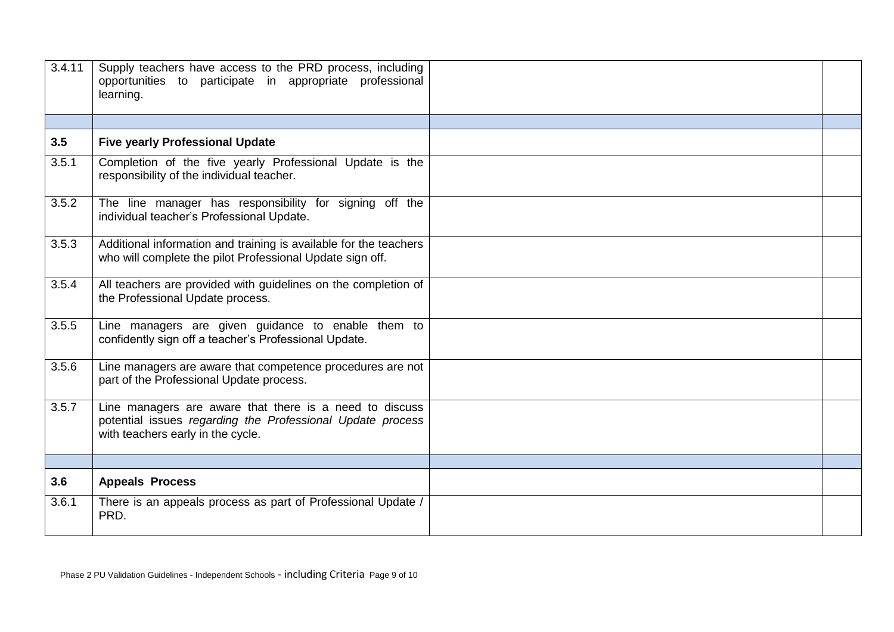| 3.4.11 | Supply teachers have access to the PRD process, including<br>opportunities to participate in appropriate professional<br>learning.                         |  |
|--------|------------------------------------------------------------------------------------------------------------------------------------------------------------|--|
|        |                                                                                                                                                            |  |
| 3.5    | <b>Five yearly Professional Update</b>                                                                                                                     |  |
| 3.5.1  | Completion of the five yearly Professional Update is the<br>responsibility of the individual teacher.                                                      |  |
| 3.5.2  | The line manager has responsibility for signing off the<br>individual teacher's Professional Update.                                                       |  |
| 3.5.3  | Additional information and training is available for the teachers<br>who will complete the pilot Professional Update sign off.                             |  |
| 3.5.4  | All teachers are provided with guidelines on the completion of<br>the Professional Update process.                                                         |  |
| 3.5.5  | Line managers are given guidance to enable them to<br>confidently sign off a teacher's Professional Update.                                                |  |
| 3.5.6  | Line managers are aware that competence procedures are not<br>part of the Professional Update process.                                                     |  |
| 3.5.7  | Line managers are aware that there is a need to discuss<br>potential issues regarding the Professional Update process<br>with teachers early in the cycle. |  |
|        |                                                                                                                                                            |  |
| 3.6    | <b>Appeals Process</b>                                                                                                                                     |  |
| 3.6.1  | There is an appeals process as part of Professional Update /<br>PRD.                                                                                       |  |